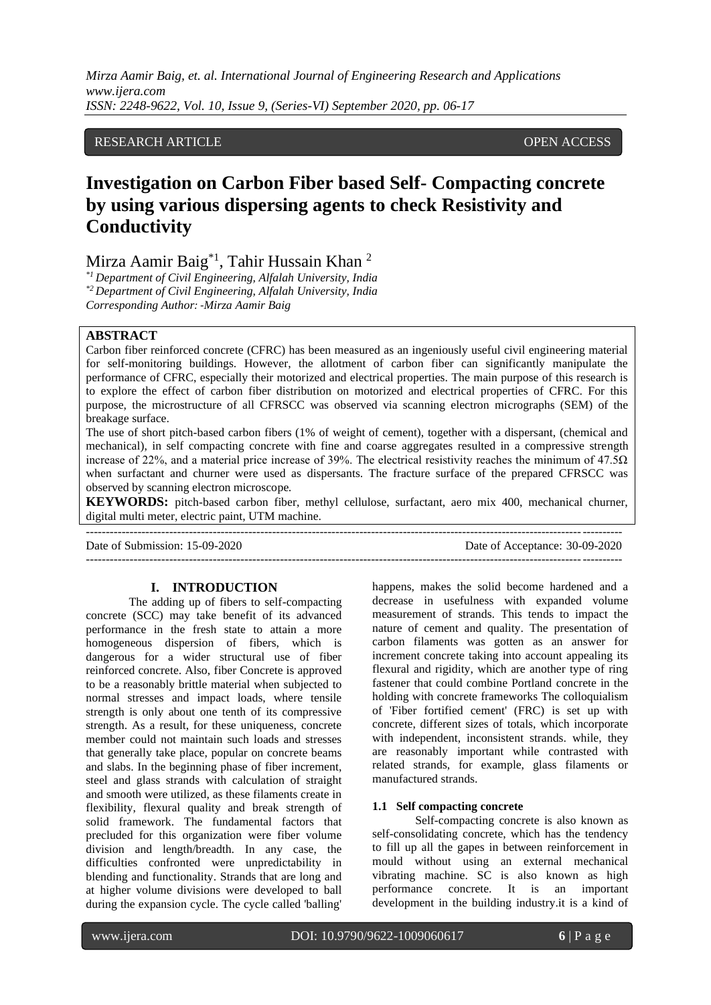# RESEARCH ARTICLE OPEN ACCESS

# **Investigation on Carbon Fiber based Self- Compacting concrete by using various dispersing agents to check Resistivity and Conductivity**

Mirza Aamir Baig<sup>\*1</sup>, Tahir Hussain Khan <sup>2</sup>

*\*1 Department of Civil Engineering, Alfalah University, India \*2 Department of Civil Engineering, Alfalah University, India Corresponding Author: -Mirza Aamir Baig*

# **ABSTRACT**

Carbon fiber reinforced concrete (CFRC) has been measured as an ingeniously useful civil engineering material for self-monitoring buildings. However, the allotment of carbon fiber can significantly manipulate the performance of CFRC, especially their motorized and electrical properties. The main purpose of this research is to explore the effect of carbon fiber distribution on motorized and electrical properties of CFRC. For this purpose, the microstructure of all CFRSCC was observed via scanning electron micrographs (SEM) of the breakage surface.

The use of short pitch-based carbon fibers (1% of weight of cement), together with a dispersant, (chemical and mechanical), in self compacting concrete with fine and coarse aggregates resulted in a compressive strength increase of 22%, and a material price increase of 39%. The electrical resistivity reaches the minimum of 47.5Ω when surfactant and churner were used as dispersants. The fracture surface of the prepared CFRSCC was observed by scanning electron microscope*.* 

**KEYWORDS:** pitch-based carbon fiber, methyl cellulose, surfactant, aero mix 400, mechanical churner, digital multi meter, electric paint, UTM machine. ---------------------------------------------------------------------------------------------------------------------------------------

Date of Submission: 15-09-2020 Date of Acceptance: 30-09-2020 ---------------------------------------------------------------------------------------------------------------------------------------

#### **I. INTRODUCTION**

The adding up of fibers to self-compacting concrete (SCC) may take benefit of its advanced performance in the fresh state to attain a more homogeneous dispersion of fibers, which is dangerous for a wider structural use of fiber reinforced concrete. Also, fiber Concrete is approved to be a reasonably brittle material when subjected to normal stresses and impact loads, where tensile strength is only about one tenth of its compressive strength. As a result, for these uniqueness, concrete member could not maintain such loads and stresses that generally take place, popular on concrete beams and slabs. In the beginning phase of fiber increment, steel and glass strands with calculation of straight and smooth were utilized, as these filaments create in flexibility, flexural quality and break strength of solid framework. The fundamental factors that precluded for this organization were fiber volume division and length/breadth. In any case, the difficulties confronted were unpredictability in blending and functionality. Strands that are long and at higher volume divisions were developed to ball during the expansion cycle. The cycle called 'balling'

happens, makes the solid become hardened and a decrease in usefulness with expanded volume measurement of strands. This tends to impact the nature of cement and quality. The presentation of carbon filaments was gotten as an answer for increment concrete taking into account appealing its flexural and rigidity, which are another type of ring fastener that could combine Portland concrete in the holding with concrete frameworks The colloquialism of 'Fiber fortified cement' (FRC) is set up with concrete, different sizes of totals, which incorporate with independent, inconsistent strands. while, they are reasonably important while contrasted with related strands, for example, glass filaments or manufactured strands.

#### **1.1 Self compacting concrete**

Self-compacting concrete is also known as self-consolidating concrete, which has the tendency to fill up all the gapes in between reinforcement in mould without using an external mechanical vibrating machine. SC is also known as high performance concrete. It is an important development in the building industry.it is a kind of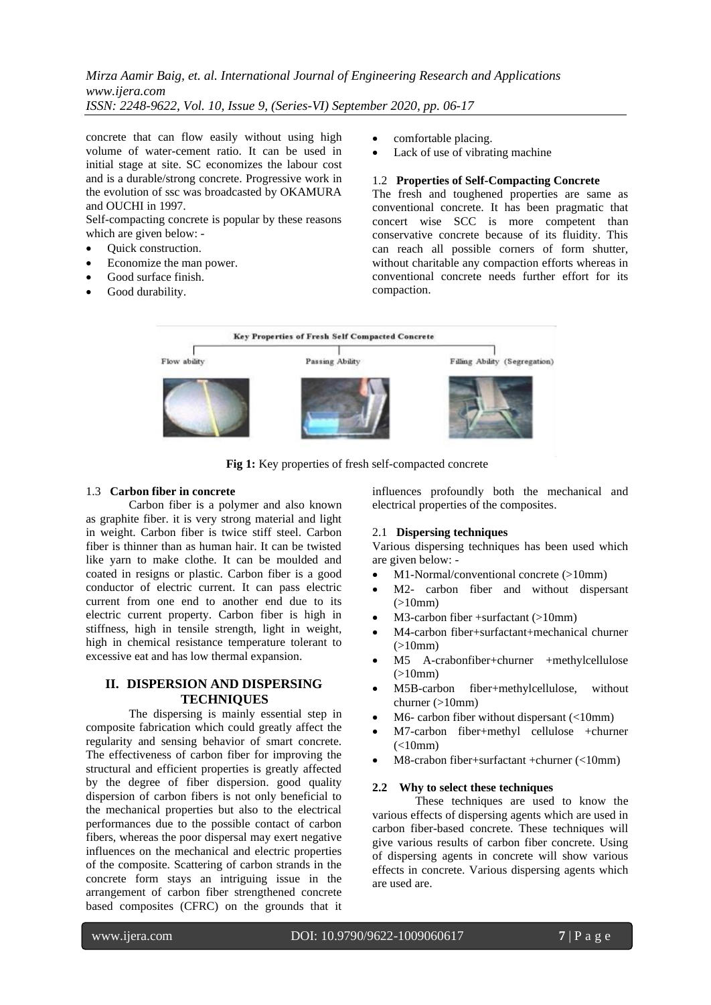concrete that can flow easily without using high volume of water-cement ratio. It can be used in initial stage at site. SC economizes the labour cost and is a durable/strong concrete. Progressive work in the evolution of ssc was broadcasted by OKAMURA and OUCHI in 1997.

Self-compacting concrete is popular by these reasons which are given below: -

- Quick construction.
- Economize the man power.
- Good surface finish.
- Good durability.
- comfortable placing.
- Lack of use of vibrating machine

# 1.2 **Properties of Self-Compacting Concrete**

The fresh and toughened properties are same as conventional concrete. It has been pragmatic that concert wise SCC is more competent than conservative concrete because of its fluidity. This can reach all possible corners of form shutter, without charitable any compaction efforts whereas in conventional concrete needs further effort for its compaction.



**Fig 1:** Key properties of fresh self-compacted concrete

#### 1.3 **Carbon fiber in concrete**

Carbon fiber is a polymer and also known as graphite fiber. it is very strong material and light in weight. Carbon fiber is twice stiff steel. Carbon fiber is thinner than as human hair. It can be twisted like yarn to make clothe. It can be moulded and coated in resigns or plastic. Carbon fiber is a good conductor of electric current. It can pass electric current from one end to another end due to its electric current property. Carbon fiber is high in stiffness, high in tensile strength, light in weight, high in chemical resistance temperature tolerant to excessive eat and has low thermal expansion.

# **II. DISPERSION AND DISPERSING TECHNIQUES**

The dispersing is mainly essential step in composite fabrication which could greatly affect the regularity and sensing behavior of smart concrete. The effectiveness of carbon fiber for improving the structural and efficient properties is greatly affected by the degree of fiber dispersion. good quality dispersion of carbon fibers is not only beneficial to the mechanical properties but also to the electrical performances due to the possible contact of carbon fibers, whereas the poor dispersal may exert negative influences on the mechanical and electric properties of the composite. Scattering of carbon strands in the concrete form stays an intriguing issue in the arrangement of carbon fiber strengthened concrete based composites (CFRC) on the grounds that it influences profoundly both the mechanical and electrical properties of the composites.

#### 2.1 **Dispersing techniques**

Various dispersing techniques has been used which are given below: -

- M1-Normal/conventional concrete (>10mm)
- M2- carbon fiber and without dispersant  $(>10mm)$
- M3-carbon fiber +surfactant (>10mm)
- M4-carbon fiber+surfactant+mechanical churner  $(>10mm)$
- M5 A-crabonfiber+churner +methylcellulose  $(>10mm)$
- M5B-carbon fiber+methylcellulose, without churner (>10mm)
- $M6$  carbon fiber without dispersant (<10mm)
- M7-carbon fiber+methyl cellulose +churner  $(<10mm)$
- M8-crabon fiber+surfactant +churner (<10mm)

#### **2.2 Why to select these techniques**

These techniques are used to know the various effects of dispersing agents which are used in carbon fiber-based concrete. These techniques will give various results of carbon fiber concrete. Using of dispersing agents in concrete will show various effects in concrete. Various dispersing agents which are used are.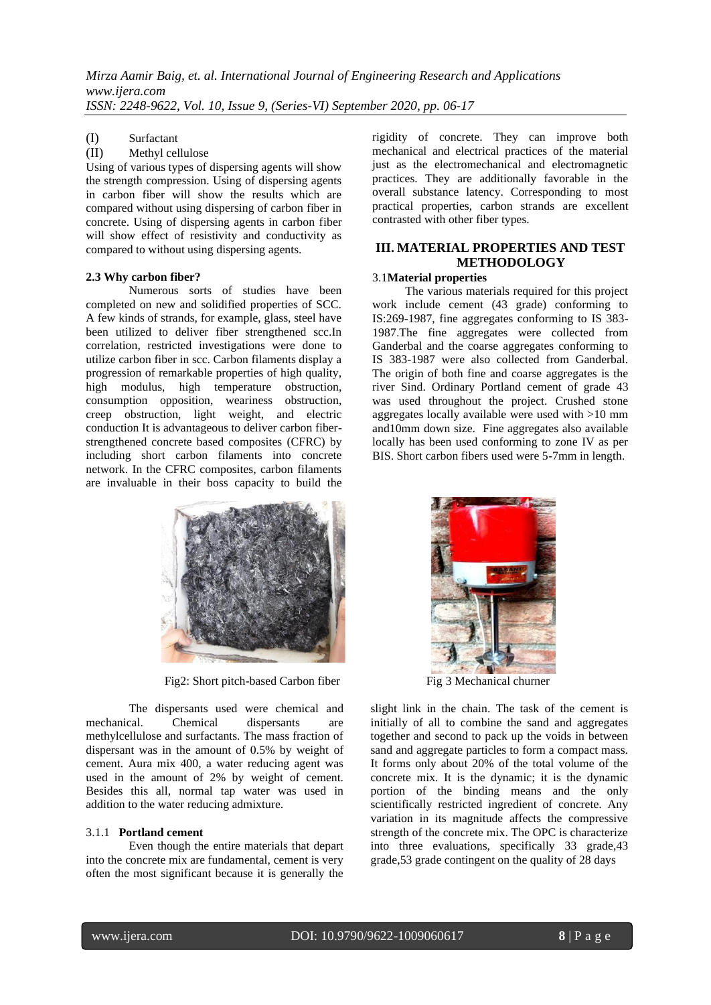# (I) Surfactant

# (II) Methyl cellulose

Using of various types of dispersing agents will show the strength compression. Using of dispersing agents in carbon fiber will show the results which are compared without using dispersing of carbon fiber in concrete. Using of dispersing agents in carbon fiber will show effect of resistivity and conductivity as compared to without using dispersing agents.

#### **2.3 Why carbon fiber?**

Numerous sorts of studies have been completed on new and solidified properties of SCC. A few kinds of strands, for example, glass, steel have been utilized to deliver fiber strengthened scc.In correlation, restricted investigations were done to utilize carbon fiber in scc. Carbon filaments display a progression of remarkable properties of high quality, high modulus, high temperature obstruction, consumption opposition, weariness obstruction, creep obstruction, light weight, and electric conduction It is advantageous to deliver carbon fiberstrengthened concrete based composites (CFRC) by including short carbon filaments into concrete network. In the CFRC composites, carbon filaments are invaluable in their boss capacity to build the



Fig2: Short pitch-based Carbon fiber Fig 3 Mechanical churner

The dispersants used were chemical and mechanical. Chemical dispersants are methylcellulose and surfactants. The mass fraction of dispersant was in the amount of 0.5% by weight of cement. Aura mix 400, a water reducing agent was used in the amount of 2% by weight of cement. Besides this all, normal tap water was used in addition to the water reducing admixture.

#### 3.1.1 **Portland cement**

Even though the entire materials that depart into the concrete mix are fundamental, cement is very often the most significant because it is generally the rigidity of concrete. They can improve both mechanical and electrical practices of the material just as the electromechanical and electromagnetic practices. They are additionally favorable in the overall substance latency. Corresponding to most practical properties, carbon strands are excellent contrasted with other fiber types.

# **III. MATERIAL PROPERTIES AND TEST METHODOLOGY**

#### 3.1**Material properties**

 The various materials required for this project work include cement (43 grade) conforming to IS:269-1987, fine aggregates conforming to IS 383- 1987.The fine aggregates were collected from Ganderbal and the coarse aggregates conforming to IS 383-1987 were also collected from Ganderbal. The origin of both fine and coarse aggregates is the river Sind. Ordinary Portland cement of grade 43 was used throughout the project. Crushed stone aggregates locally available were used with >10 mm and10mm down size. Fine aggregates also available locally has been used conforming to zone IV as per BIS. Short carbon fibers used were 5-7mm in length.



slight link in the chain. The task of the cement is initially of all to combine the sand and aggregates together and second to pack up the voids in between sand and aggregate particles to form a compact mass. It forms only about 20% of the total volume of the concrete mix. It is the dynamic; it is the dynamic portion of the binding means and the only scientifically restricted ingredient of concrete. Any variation in its magnitude affects the compressive strength of the concrete mix. The OPC is characterize into three evaluations, specifically 33 grade,43 grade,53 grade contingent on the quality of 28 days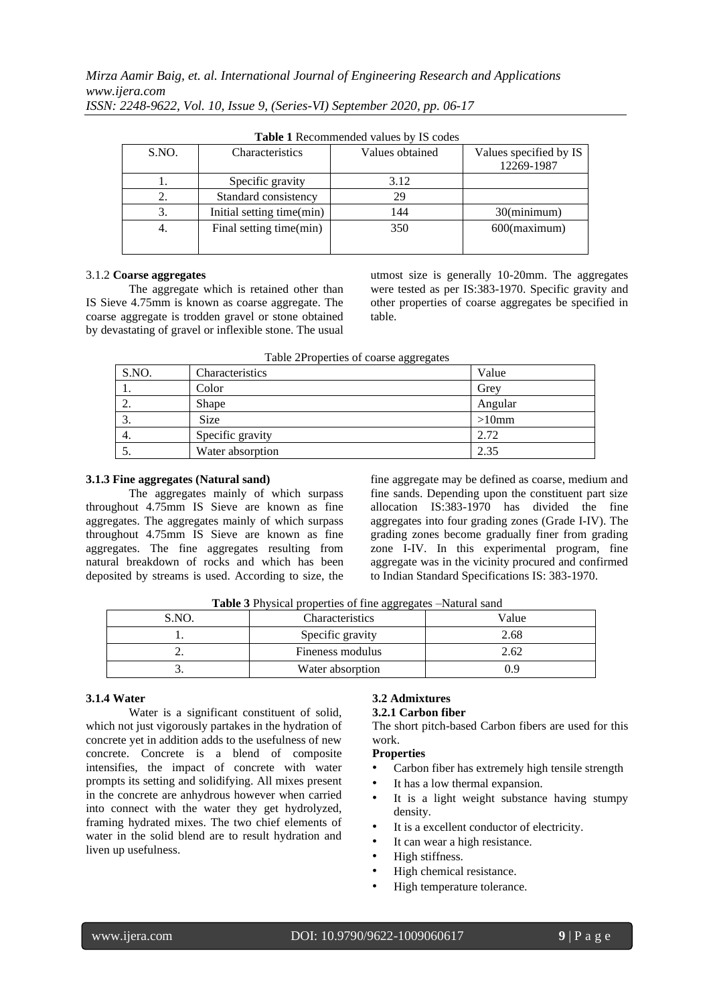| <b>Lable 1</b> KCCOMMICHOCO VARIOS DY 13 COOCS |                           |                 |                        |  |
|------------------------------------------------|---------------------------|-----------------|------------------------|--|
| S.NO.                                          | Characteristics           | Values obtained | Values specified by IS |  |
|                                                |                           |                 | 12269-1987             |  |
|                                                | Specific gravity          | 3.12            |                        |  |
| 2.                                             | Standard consistency      | 29              |                        |  |
| 3.                                             | Initial setting time(min) | 144             | $30$ (minimum)         |  |
| 4.                                             | Final setting time(min)   | 350             | $600$ (maximum)        |  |
|                                                |                           |                 |                        |  |

**Table 1** Recommended values by IS codes

#### 3.1.2 **Coarse aggregates**

The aggregate which is retained other than IS Sieve 4.75mm is known as coarse aggregate. The coarse aggregate is trodden gravel or stone obtained by devastating of gravel or inflexible stone. The usual utmost size is generally 10-20mm. The aggregates were tested as per IS:383-1970. Specific gravity and other properties of coarse aggregates be specified in table.

| Table 2Properties of coarse aggregates |  |
|----------------------------------------|--|
|----------------------------------------|--|

| S.NO. | Characteristics  | Value    |
|-------|------------------|----------|
| 1.    | Color            | Grey     |
| 2.    | Shape            | Angular  |
| - 3.  | <b>Size</b>      | $>10$ mm |
| 4.    | Specific gravity | 2.72     |
|       | Water absorption | 2.35     |

#### **3.1.3 Fine aggregates (Natural sand)**

The aggregates mainly of which surpass throughout 4.75mm IS Sieve are known as fine aggregates. The aggregates mainly of which surpass throughout 4.75mm IS Sieve are known as fine aggregates. The fine aggregates resulting from natural breakdown of rocks and which has been deposited by streams is used. According to size, the fine aggregate may be defined as coarse, medium and fine sands. Depending upon the constituent part size allocation IS:383-1970 has divided the fine aggregates into four grading zones (Grade I-IV). The grading zones become gradually finer from grading zone I-IV. In this experimental program, fine aggregate was in the vicinity procured and confirmed to Indian Standard Specifications IS: 383-1970.

**Table 3** Physical properties of fine aggregates –Natural sand

| S.NO. | <b>Characteristics</b> | Value |
|-------|------------------------|-------|
|       | Specific gravity       | 2.68  |
|       | Fineness modulus       | 2.62  |
|       | Water absorption       | 9.9   |

# **3.1.4 Water**

Water is a significant constituent of solid, which not just vigorously partakes in the hydration of concrete yet in addition adds to the usefulness of new concrete. Concrete is a blend of composite intensifies, the impact of concrete with water prompts its setting and solidifying. All mixes present in the concrete are anhydrous however when carried into connect with the water they get hydrolyzed, framing hydrated mixes. The two chief elements of water in the solid blend are to result hydration and liven up usefulness.

# **3.2 Admixtures**

# **3.2.1 Carbon fiber**

The short pitch-based Carbon fibers are used for this work.

# **Properties**

- Carbon fiber has extremely high tensile strength
- It has a low thermal expansion.
- It is a light weight substance having stumpy density.
- It is a excellent conductor of electricity.
- It can wear a high resistance.
- High stiffness.
- High chemical resistance.
- High temperature tolerance.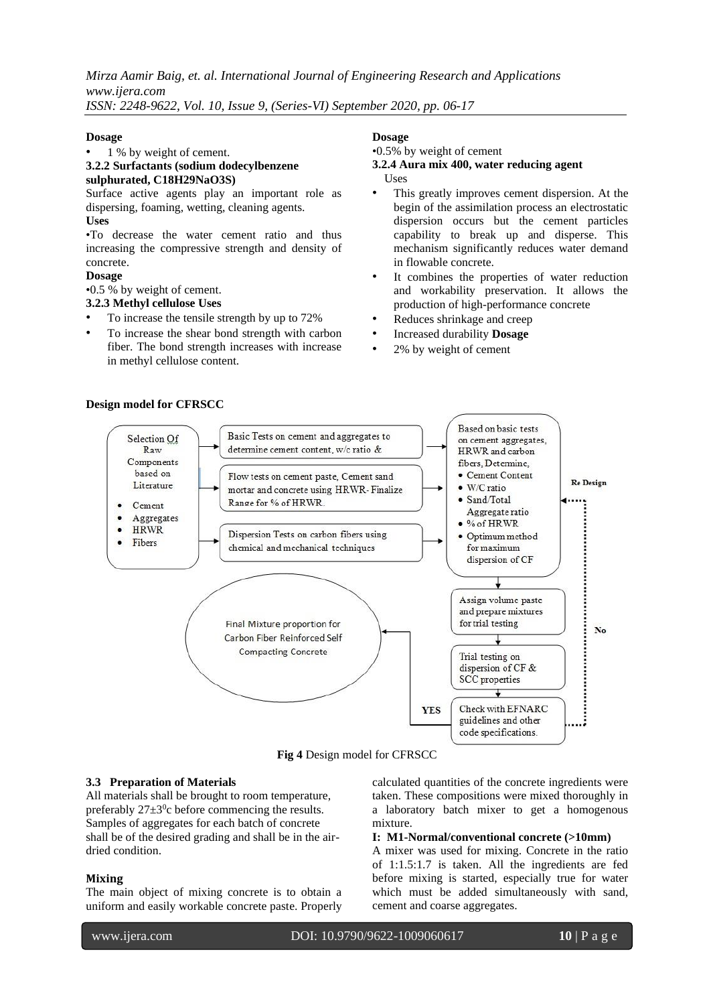*Mirza Aamir Baig, et. al. International Journal of Engineering Research and Applications www.ijera.com*

*ISSN: 2248-9622, Vol. 10, Issue 9, (Series-VI) September 2020, pp. 06-17*

#### **Dosage**

#### 1 % by weight of cement.

#### **3.2.2 Surfactants (sodium dodecylbenzene sulphurated, C18H29NaO3S)**

# Surface active agents play an important role as dispersing, foaming, wetting, cleaning agents.

# **Uses**

•To decrease the water cement ratio and thus increasing the compressive strength and density of concrete.

# **Dosage**

•0.5 % by weight of cement.

# **3.2.3 Methyl cellulose Uses**

- To increase the tensile strength by up to 72%
- To increase the shear bond strength with carbon fiber. The bond strength increases with increase in methyl cellulose content.

# **Dosage**

# •0.5% by weight of cement

- **3.2.4 Aura mix 400, water reducing agent**  Uses
- This greatly improves cement dispersion. At the begin of the assimilation process an electrostatic dispersion occurs but the cement particles capability to break up and disperse. This mechanism significantly reduces water demand in flowable concrete.
- It combines the properties of water reduction and workability preservation. It allows the production of high-performance concrete
- Reduces shrinkage and creep
- Increased durability **Dosage**
- 2% by weight of cement



**Fig 4** Design model for CFRSCC

# **3.3 Preparation of Materials**

All materials shall be brought to room temperature, preferably  $27 \pm 3$ <sup>0</sup>c before commencing the results. Samples of aggregates for each batch of concrete shall be of the desired grading and shall be in the airdried condition.

# **Mixing**

I

The main object of mixing concrete is to obtain a uniform and easily workable concrete paste. Properly

calculated quantities of the concrete ingredients were taken. These compositions were mixed thoroughly in a laboratory batch mixer to get a homogenous mixture.

#### **I: M1-Normal/conventional concrete (>10mm)**

A mixer was used for mixing. Concrete in the ratio of 1:1.5:1.7 is taken. All the ingredients are fed before mixing is started, especially true for water which must be added simultaneously with sand, cement and coarse aggregates.

# **Design model for CFRSCC**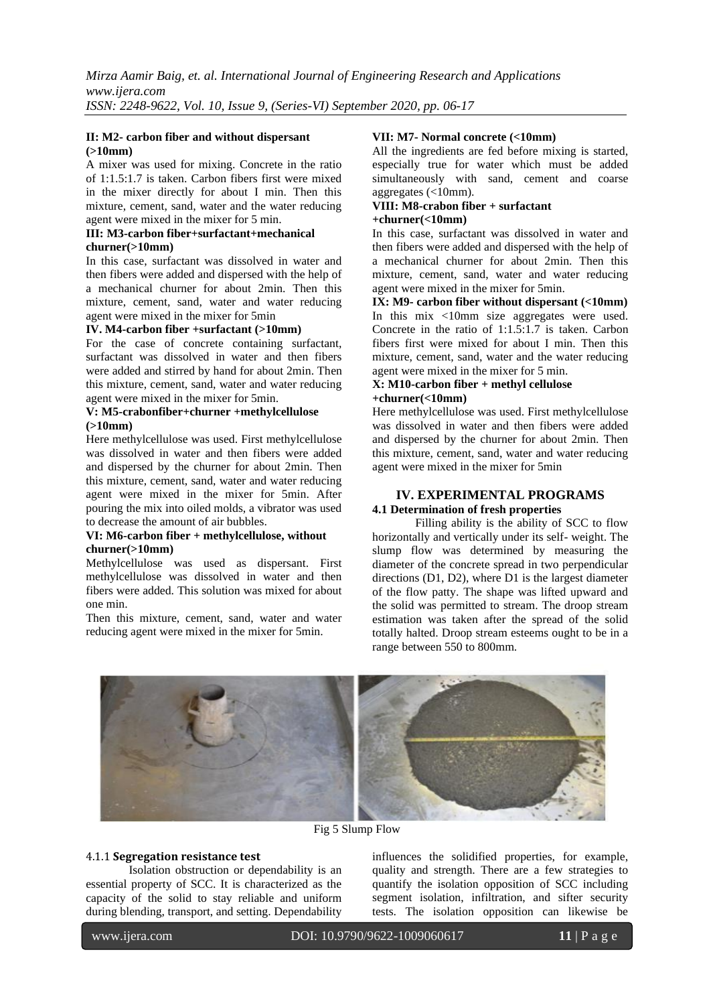#### **II: M2- carbon fiber and without dispersant (>10mm)**

A mixer was used for mixing. Concrete in the ratio of 1:1.5:1.7 is taken. Carbon fibers first were mixed in the mixer directly for about I min. Then this mixture, cement, sand, water and the water reducing agent were mixed in the mixer for 5 min.

# **III: M3-carbon fiber+surfactant+mechanical churner(>10mm)**

In this case, surfactant was dissolved in water and then fibers were added and dispersed with the help of a mechanical churner for about 2min. Then this mixture, cement, sand, water and water reducing agent were mixed in the mixer for 5min

#### **IV. M4-carbon fiber +surfactant (>10mm)**

For the case of concrete containing surfactant, surfactant was dissolved in water and then fibers were added and stirred by hand for about 2min. Then this mixture, cement, sand, water and water reducing agent were mixed in the mixer for 5min.

#### **V: M5-crabonfiber+churner +methylcellulose (>10mm)**

Here methylcellulose was used. First methylcellulose was dissolved in water and then fibers were added and dispersed by the churner for about 2min. Then this mixture, cement, sand, water and water reducing agent were mixed in the mixer for 5min. After pouring the mix into oiled molds, a vibrator was used to decrease the amount of air bubbles.

#### **VI: M6-carbon fiber + methylcellulose, without churner(>10mm)**

Methylcellulose was used as dispersant. First methylcellulose was dissolved in water and then fibers were added. This solution was mixed for about one min.

Then this mixture, cement, sand, water and water reducing agent were mixed in the mixer for 5min.

# **VII: M7- Normal concrete (<10mm)**

All the ingredients are fed before mixing is started, especially true for water which must be added simultaneously with sand, cement and coarse aggregates (<10mm).

# **VIII: M8-crabon fiber + surfactant +churner(<10mm)**

In this case, surfactant was dissolved in water and then fibers were added and dispersed with the help of a mechanical churner for about 2min. Then this mixture, cement, sand, water and water reducing agent were mixed in the mixer for 5min.

**IX: M9- carbon fiber without dispersant (<10mm)**  In this mix <10mm size aggregates were used. Concrete in the ratio of 1:1.5:1.7 is taken. Carbon fibers first were mixed for about I min. Then this mixture, cement, sand, water and the water reducing agent were mixed in the mixer for 5 min.

#### **X: M10-carbon fiber + methyl cellulose +churner(<10mm)**

Here methylcellulose was used. First methylcellulose was dissolved in water and then fibers were added and dispersed by the churner for about 2min. Then this mixture, cement, sand, water and water reducing agent were mixed in the mixer for 5min

# **IV. EXPERIMENTAL PROGRAMS 4.1 Determination of fresh properties**

Filling ability is the ability of SCC to flow horizontally and vertically under its self- weight. The slump flow was determined by measuring the diameter of the concrete spread in two perpendicular directions (D1, D2), where D1 is the largest diameter of the flow patty. The shape was lifted upward and the solid was permitted to stream. The droop stream estimation was taken after the spread of the solid totally halted. Droop stream esteems ought to be in a range between 550 to 800mm.



Fig 5 Slump Flow

# 4.1.1 **Segregation resistance test**

Isolation obstruction or dependability is an essential property of SCC. It is characterized as the capacity of the solid to stay reliable and uniform during blending, transport, and setting. Dependability

influences the solidified properties, for example, quality and strength. There are a few strategies to quantify the isolation opposition of SCC including segment isolation, infiltration, and sifter security tests. The isolation opposition can likewise be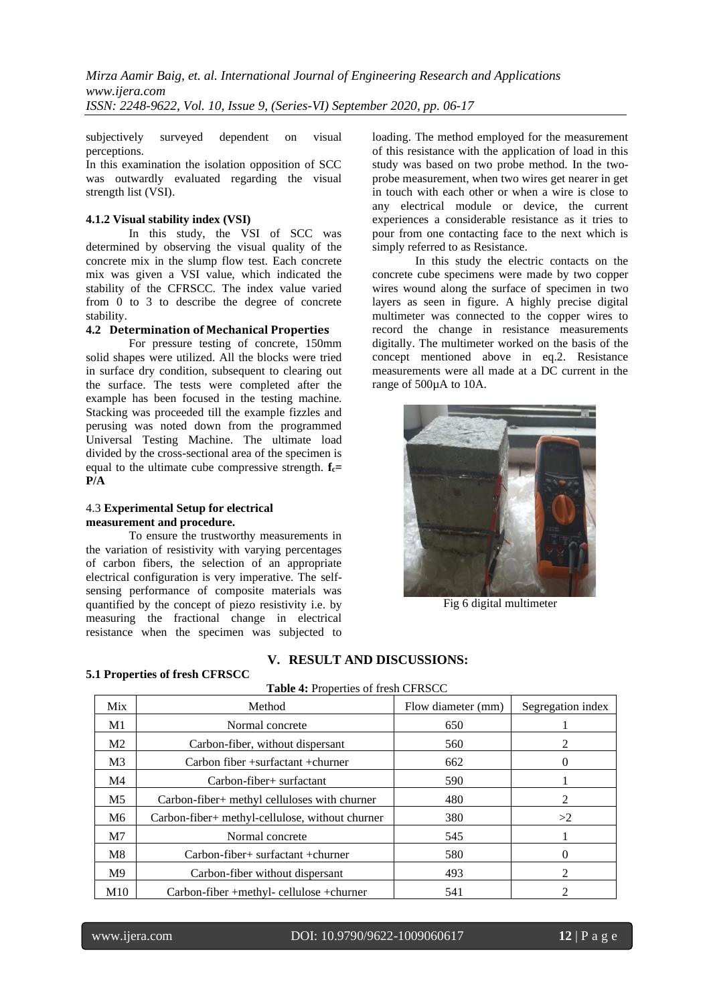subjectively surveyed dependent on visual perceptions.

In this examination the isolation opposition of SCC was outwardly evaluated regarding the visual strength list (VSI).

#### **4.1.2 Visual stability index (VSI)**

In this study, the VSI of SCC was determined by observing the visual quality of the concrete mix in the slump flow test. Each concrete mix was given a VSI value, which indicated the stability of the CFRSCC. The index value varied from 0 to 3 to describe the degree of concrete stability.

#### **4.2 Determination of Mechanical Properties**

For pressure testing of concrete, 150mm solid shapes were utilized. All the blocks were tried in surface dry condition, subsequent to clearing out the surface. The tests were completed after the example has been focused in the testing machine. Stacking was proceeded till the example fizzles and perusing was noted down from the programmed Universal Testing Machine. The ultimate load divided by the cross-sectional area of the specimen is equal to the ultimate cube compressive strength. **fc= P/A** 

#### 4.3 **Experimental Setup for electrical measurement and procedure.**

To ensure the trustworthy measurements in the variation of resistivity with varying percentages of carbon fibers, the selection of an appropriate electrical configuration is very imperative. The selfsensing performance of composite materials was quantified by the concept of piezo resistivity i.e. by measuring the fractional change in electrical resistance when the specimen was subjected to loading. The method employed for the measurement of this resistance with the application of load in this study was based on two probe method. In the twoprobe measurement, when two wires get nearer in get in touch with each other or when a wire is close to any electrical module or device, the current experiences a considerable resistance as it tries to pour from one contacting face to the next which is simply referred to as Resistance.

In this study the electric contacts on the concrete cube specimens were made by two copper wires wound along the surface of specimen in two layers as seen in figure. A highly precise digital multimeter was connected to the copper wires to record the change in resistance measurements digitally. The multimeter worked on the basis of the concept mentioned above in eq.2. Resistance measurements were all made at a DC current in the range of 500µA to 10A.



Fig 6 digital multimeter

# **V. RESULT AND DISCUSSIONS:**

Table 4: Properties of fresh CFRSCC

#### **5.1 Properties of fresh CFRSCC**

| Mix            | Method                                          | Flow diameter (mm) | Segregation index           |
|----------------|-------------------------------------------------|--------------------|-----------------------------|
| M1             | Normal concrete                                 | 650                |                             |
| M <sub>2</sub> | Carbon-fiber, without dispersant                | 560                |                             |
| M <sub>3</sub> | Carbon fiber $+$ surfactant $+$ churner         | 662                |                             |
| M4             | Carbon-fiber+ surfactant                        | 590                |                             |
| M <sub>5</sub> | Carbon-fiber+ methyl celluloses with churner    | 480                | 2                           |
| M6             | Carbon-fiber+ methyl-cellulose, without churner | 380                | >2                          |
| M <sub>7</sub> | Normal concrete                                 | 545                |                             |
| M8             | $Carbon-fiber+ surfactant + churner$            | 580                |                             |
| M <sup>9</sup> | Carbon-fiber without dispersant                 | 493                | $\mathcal{D}_{\mathcal{L}}$ |
| M10            | Carbon-fiber +methyl- cellulose +churner        | 541                |                             |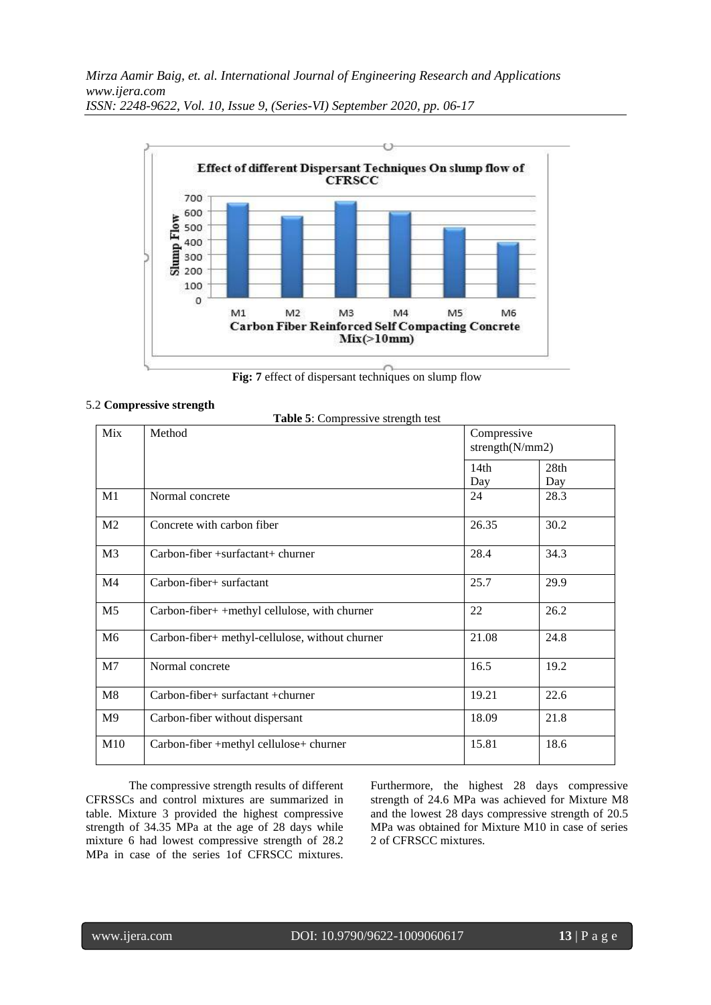

**Fig: 7** effect of dispersant techniques on slump flow

**Table 5**: Compressive strength test

# 5.2 **Compressive strength**

| Mix            | Method                                        |             | Compressive<br>strength $(N/mm 2)$ |  |
|----------------|-----------------------------------------------|-------------|------------------------------------|--|
|                |                                               | 14th<br>Day | 28th<br>Day                        |  |
| M1             | Normal concrete                               | 24          | 28.3                               |  |
| M <sub>2</sub> | Concrete with carbon fiber                    | 26.35       | 30.2                               |  |
| M <sub>3</sub> | $Carbon-fiber + surfactant + churner$         | 28.4        | 34.3                               |  |
| M4             | Carbon-fiber+ surfactant                      | 25.7        | 29.9                               |  |
| M <sub>5</sub> | Carbon-fiber+ +methyl cellulose, with churner | 22          | 26.2                               |  |

| M <sub>2</sub> | Concrete with carbon fiber                      | 26.35 | 30.2 |
|----------------|-------------------------------------------------|-------|------|
| M <sub>3</sub> | $Carbon-fiber + surfacetant + churner$          | 28.4  | 34.3 |
| M4             | Carbon-fiber+ surfactant                        | 25.7  | 29.9 |
| M <sub>5</sub> | Carbon-fiber+ +methyl cellulose, with churner   | 22    | 26.2 |
| M <sub>6</sub> | Carbon-fiber+ methyl-cellulose, without churner | 21.08 | 24.8 |
| M <sub>7</sub> | Normal concrete                                 | 16.5  | 19.2 |
| M8             | $Carbon-fiber+ surface tant + churner$          | 19.21 | 22.6 |
| M <sup>9</sup> | Carbon-fiber without dispersant                 | 18.09 | 21.8 |
| M10            | Carbon-fiber +methyl cellulose+ churner         | 15.81 | 18.6 |
|                |                                                 |       |      |

The compressive strength results of different CFRSSCs and control mixtures are summarized in table. Mixture 3 provided the highest compressive strength of 34.35 MPa at the age of 28 days while mixture 6 had lowest compressive strength of 28.2 MPa in case of the series 1of CFRSCC mixtures.

Furthermore, the highest 28 days compressive strength of 24.6 MPa was achieved for Mixture M8 and the lowest 28 days compressive strength of 20.5 MPa was obtained for Mixture M10 in case of series 2 of CFRSCC mixtures.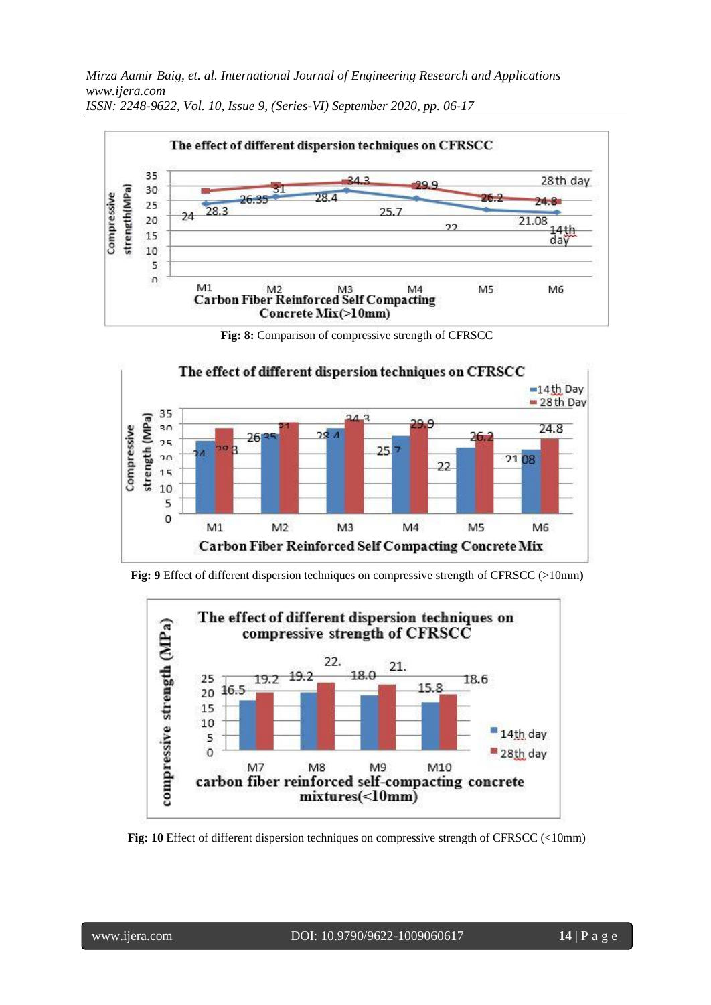*Mirza Aamir Baig, et. al. International Journal of Engineering Research and Applications www.ijera.com*



*ISSN: 2248-9622, Vol. 10, Issue 9, (Series-VI) September 2020, pp. 06-17*

**Fig: 8:** Comparison of compressive strength of CFRSCC



**Fig: 9** Effect of different dispersion techniques on compressive strength of CFRSCC (>10mm**)**



**Fig: 10** Effect of different dispersion techniques on compressive strength of CFRSCC (<10mm)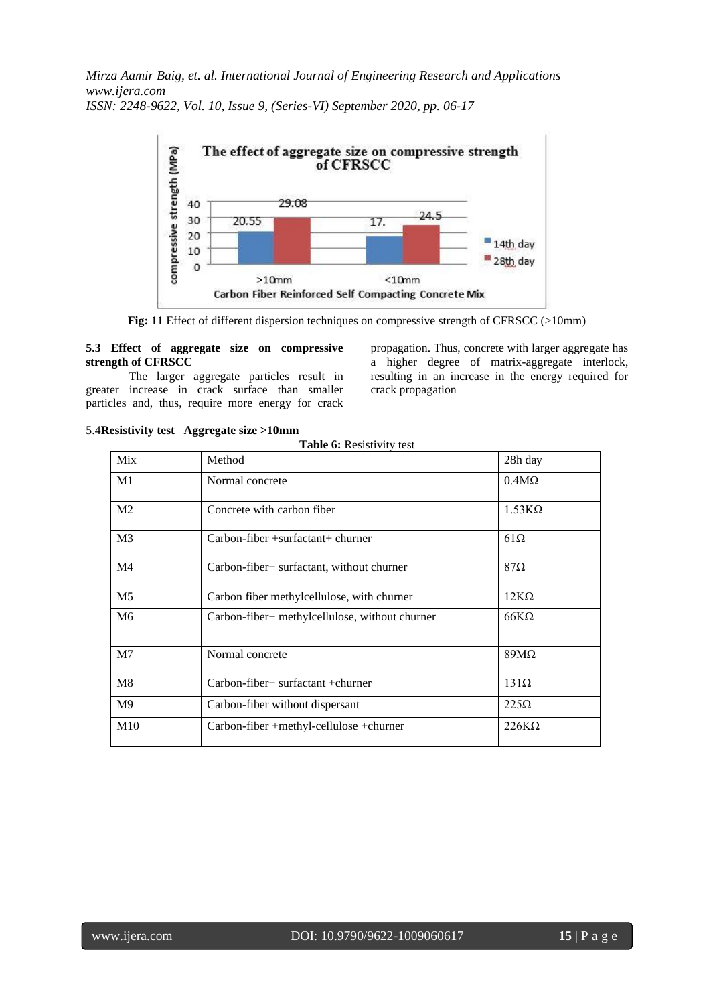

**Fig: 11** Effect of different dispersion techniques on compressive strength of CFRSCC (>10mm)

#### **5.3 Effect of aggregate size on compressive strength of CFRSCC**

The larger aggregate particles result in greater increase in crack surface than smaller particles and, thus, require more energy for crack

propagation. Thus, concrete with larger aggregate has a higher degree of matrix-aggregate interlock, resulting in an increase in the energy required for crack propagation

| Mix            | Method                                         | 28h day       |
|----------------|------------------------------------------------|---------------|
| M1             | Normal concrete                                | $0.4M\Omega$  |
| M <sub>2</sub> | Concrete with carbon fiber                     | $1.53K\Omega$ |
| M <sub>3</sub> | $Carbon-fiber + surfacetant + churner$         | $61\Omega$    |
| M <sub>4</sub> | Carbon-fiber+ surfactant, without churner      | $87\Omega$    |
| M <sub>5</sub> | Carbon fiber methylcellulose, with churner     | $12K\Omega$   |
| M <sub>6</sub> | Carbon-fiber+ methylcellulose, without churner | $66K\Omega$   |
| M7             | Normal concrete                                | $89M\Omega$   |
| M8             | $Carbon-fiber+ surfactant + churner$           | $131\Omega$   |
| M <sup>9</sup> | Carbon-fiber without dispersant                | $225\Omega$   |
| M10            | Carbon-fiber +methyl-cellulose +churner        | $226K\Omega$  |

**Table 6:** Resistivity test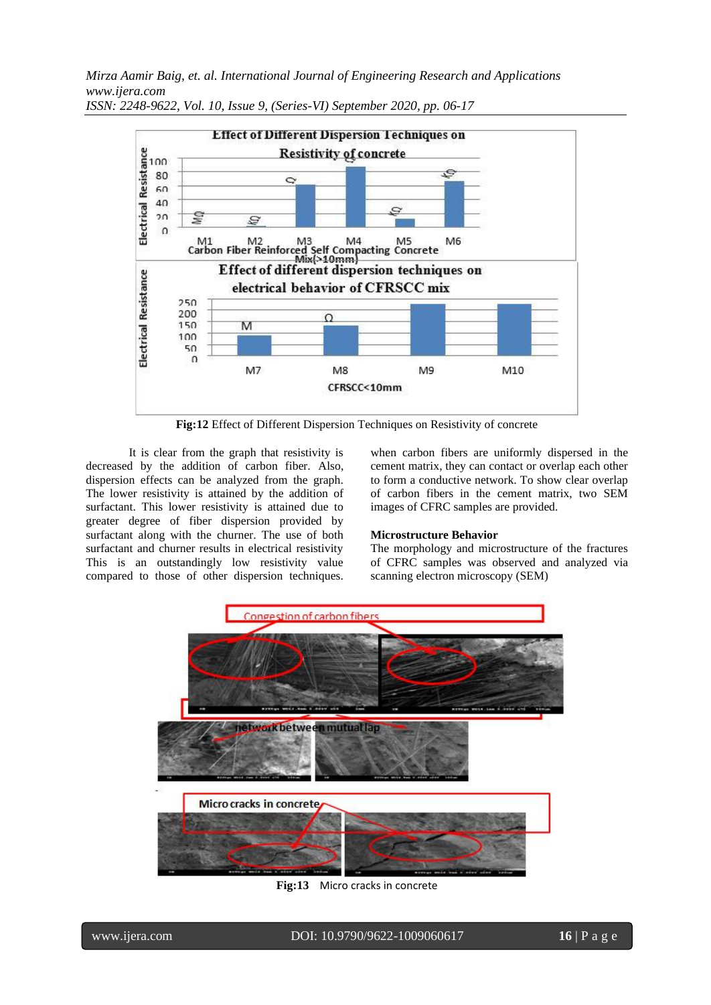*Mirza Aamir Baig, et. al. International Journal of Engineering Research and Applications www.ijera.com*



*ISSN: 2248-9622, Vol. 10, Issue 9, (Series-VI) September 2020, pp. 06-17*

**Fig:12** Effect of Different Dispersion Techniques on Resistivity of concrete

It is clear from the graph that resistivity is decreased by the addition of carbon fiber. Also, dispersion effects can be analyzed from the graph. The lower resistivity is attained by the addition of surfactant. This lower resistivity is attained due to greater degree of fiber dispersion provided by surfactant along with the churner. The use of both surfactant and churner results in electrical resistivity This is an outstandingly low resistivity value compared to those of other dispersion techniques.

when carbon fibers are uniformly dispersed in the cement matrix, they can contact or overlap each other to form a conductive network. To show clear overlap of carbon fibers in the cement matrix, two SEM images of CFRC samples are provided.

#### **Microstructure Behavior**

The morphology and microstructure of the fractures of CFRC samples was observed and analyzed via scanning electron microscopy (SEM)



**Fig:13** Micro cracks in concrete